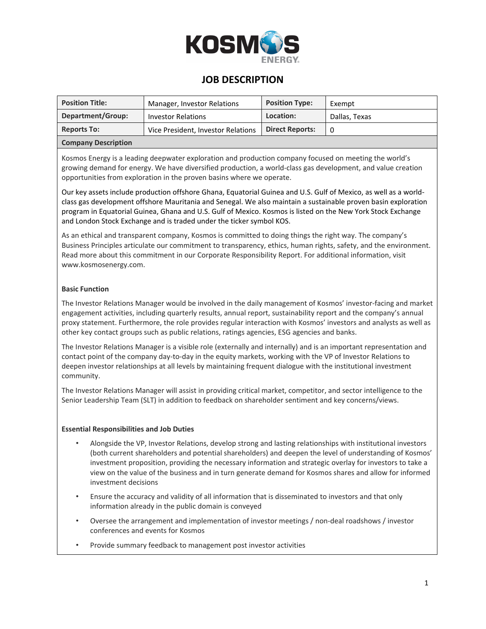

## **JOB DESCRIPTION**

| <b>Position Title:</b>     | Manager, Investor Relations        | <b>Position Type:</b>  | Exempt        |
|----------------------------|------------------------------------|------------------------|---------------|
| Department/Group:          | <b>Investor Relations</b>          | Location:              | Dallas, Texas |
| <b>Reports To:</b>         | Vice President, Investor Relations | <b>Direct Reports:</b> | 0             |
| <b>Company Description</b> |                                    |                        |               |

Kosmos Energy is a leading deepwater exploration and production company focused on meeting the world's growing demand for energy. We have diversified production, a world-class gas development, and value creation opportunities from exploration in the proven basins where we operate.

Our key assets include production offshore Ghana, Equatorial Guinea and U.S. Gulf of Mexico, as well as a worldclass gas development offshore Mauritania and Senegal. We also maintain a sustainable proven basin exploration program in Equatorial Guinea, Ghana and U.S. Gulf of Mexico. Kosmos is listed on the New York Stock Exchange and London Stock Exchange and is traded under the ticker symbol KOS.

As an ethical and transparent company, Kosmos is committed to doing things the right way. The company's Business Principles articulate our commitment to transparency, ethics, human rights, safety, and the environment. Read more about this commitment in our Corporate Responsibility Report. For additional information, visit www.kosmosenergy.com.

## **Basic Function**

The Investor Relations Manager would be involved in the daily management of Kosmos' investor-facing and market engagement activities, including quarterly results, annual report, sustainability report and the company's annual proxy statement. Furthermore, the role provides regular interaction with Kosmos' investors and analysts as well as other key contact groups such as public relations, ratings agencies, ESG agencies and banks.

The Investor Relations Manager is a visible role (externally and internally) and is an important representation and contact point of the company day-to-day in the equity markets, working with the VP of Investor Relations to deepen investor relationships at all levels by maintaining frequent dialogue with the institutional investment community.

The Investor Relations Manager will assist in providing critical market, competitor, and sector intelligence to the Senior Leadership Team (SLT) in addition to feedback on shareholder sentiment and key concerns/views.

## **Essential Responsibilities and Job Duties**

- Alongside the VP, Investor Relations, develop strong and lasting relationships with institutional investors (both current shareholders and potential shareholders) and deepen the level of understanding of Kosmos' investment proposition, providing the necessary information and strategic overlay for investors to take a view on the value of the business and in turn generate demand for Kosmos shares and allow for informed investment decisions
- Ensure the accuracy and validity of all information that is disseminated to investors and that only information already in the public domain is conveyed
- Oversee the arrangement and implementation of investor meetings / non-deal roadshows / investor conferences and events for Kosmos
- Provide summary feedback to management post investor activities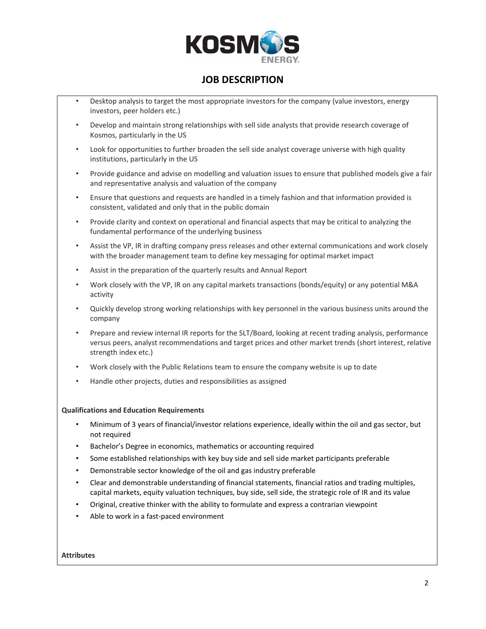

# **JOB DESCRIPTION**

- Desktop analysis to target the most appropriate investors for the company (value investors, energy investors, peer holders etc.)
- Develop and maintain strong relationships with sell side analysts that provide research coverage of Kosmos, particularly in the US
- Look for opportunities to further broaden the sell side analyst coverage universe with high quality institutions, particularly in the US
- Provide guidance and advise on modelling and valuation issues to ensure that published models give a fair and representative analysis and valuation of the company
- Ensure that questions and requests are handled in a timely fashion and that information provided is consistent, validated and only that in the public domain
- Provide clarity and context on operational and financial aspects that may be critical to analyzing the fundamental performance of the underlying business
- Assist the VP, IR in drafting company press releases and other external communications and work closely with the broader management team to define key messaging for optimal market impact
- Assist in the preparation of the quarterly results and Annual Report
- Work closely with the VP, IR on any capital markets transactions (bonds/equity) or any potential M&A activity
- Quickly develop strong working relationships with key personnel in the various business units around the company
- Prepare and review internal IR reports for the SLT/Board, looking at recent trading analysis, performance versus peers, analyst recommendations and target prices and other market trends (short interest, relative strength index etc.)
- Work closely with the Public Relations team to ensure the company website is up to date
- Handle other projects, duties and responsibilities as assigned

#### **Qualifications and Education Requirements**

- Minimum of 3 years of financial/investor relations experience, ideally within the oil and gas sector, but not required
- Bachelor's Degree in economics, mathematics or accounting required
- Some established relationships with key buy side and sell side market participants preferable
- Demonstrable sector knowledge of the oil and gas industry preferable
- Clear and demonstrable understanding of financial statements, financial ratios and trading multiples, capital markets, equity valuation techniques, buy side, sell side, the strategic role of IR and its value
- Original, creative thinker with the ability to formulate and express a contrarian viewpoint
- Able to work in a fast-paced environment

#### **Attributes**